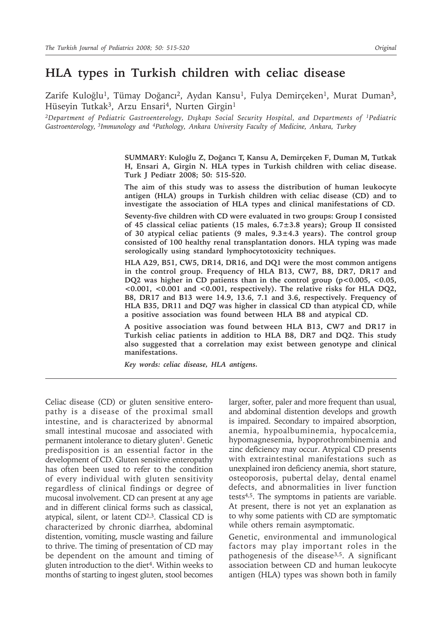# **HLA types in Turkish children with celiac disease**

Zarife Kuloğlu<sup>1</sup>, Tümay Doğancı<sup>2</sup>, Aydan Kansu<sup>1</sup>, Fulya Demirçeken<sup>1</sup>, Murat Duman<sup>3</sup>, Hüseyin Tutkak<sup>3</sup>, Arzu Ensari<sup>4</sup>, Nurten Girgin<sup>1</sup>

*2Department of Pediatric Gastroenterology, Dışkapı Social Security Hospital, and Departments of 1Pediatric Gastroenterology, 3Immunology and 4Pathology, Ankara University Faculty of Medicine, Ankara, Turkey*

> **SUMMARY: Kuloğlu Z, Doğancı T, Kansu A, Demirçeken F, Duman M, Tutkak H, Ensari A, Girgin N. HLA types in Turkish children with celiac disease. Turk J Pediatr 2008; 50: 515-520.**

> **The aim of this study was to assess the distribution of human leukocyte antigen (HLA) groups in Turkish children with celiac disease (CD) and to investigate the association of HLA types and clinical manifestations of CD.**

> **Seventy-five children with CD were evaluated in two groups: Group I consisted of 45 classical celiac patients (15 males, 6.7±3.8 years); Group II consisted of 30 atypical celiac patients (9 males, 9.3±4.3 years). The control group consisted of 100 healthy renal transplantation donors. HLA typing was made serologically using standard lymphocytotoxicity techniques.**

> **HLA A29, B51, CW5, DR14, DR16, and DQ1 were the most common antigens in the control group. Frequency of HLA B13, CW7, B8, DR7, DR17 and**  DQ2 was higher in CD patients than in the control group (p<0.005, <0.05, **<0.001, <0.001 and <0.001, respectively). The relative risks for HLA DQ2, B8, DR17 and B13 were 14.9, 13.6, 7.1 and 3.6, respectively. Frequency of HLA B35, DR11 and DQ7 was higher in classical CD than atypical CD, while a positive association was found between HLA B8 and atypical CD.**

> **A positive association was found between HLA B13, CW7 and DR17 in Turkish celiac patients in addition to HLA B8, DR7 and DQ2. This study also suggested that a correlation may exist between genotype and clinical manifestations.**

*Key words: celiac disease, HLA antigens.*

Celiac disease (CD) or gluten sensitive enteropathy is a disease of the proximal small intestine, and is characterized by abnormal small intestinal mucosae and associated with permanent intolerance to dietary gluten<sup>1</sup>. Genetic predisposition is an essential factor in the development of CD. Gluten sensitive enteropathy has often been used to refer to the condition of every individual with gluten sensitivity regardless of clinical findings or degree of mucosal involvement. CD can present at any age and in different clinical forms such as classical, atypical, silent, or latent  $CD<sup>2,3</sup>$ . Classical CD is characterized by chronic diarrhea, abdominal distention, vomiting, muscle wasting and failure to thrive. The timing of presentation of CD may be dependent on the amount and timing of gluten introduction to the diet $4$ . Within weeks to months of starting to ingest gluten, stool becomes

larger, softer, paler and more frequent than usual, and abdominal distention develops and growth is impaired. Secondary to impaired absorption, anemia, hypoalbuminemia, hypocalcemia, hypomagnesemia, hypoprothrombinemia and zinc deficiency may occur. Atypical CD presents with extraintestinal manifestations such as unexplained iron deficiency anemia, short stature, osteoporosis, pubertal delay, dental enamel defects, and abnormalities in liver function tests4,5. The symptoms in patients are variable. At present, there is not yet an explanation as to why some patients with CD are symptomatic while others remain asymptomatic.

Genetic, environmental and immunological factors may play important roles in the pathogenesis of the disease<sup>3,5</sup>. A significant association between CD and human leukocyte antigen (HLA) types was shown both in family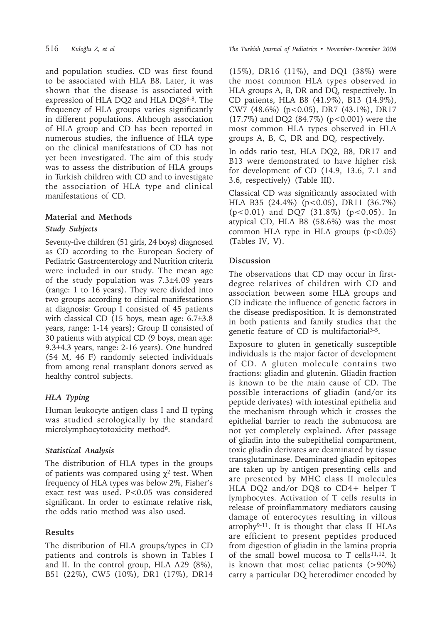and population studies. CD was first found to be associated with HLA B8. Later, it was shown that the disease is associated with expression of HLA DQ2 and HLA DQ86-8. The frequency of HLA groups varies significantly in different populations. Although association of HLA group and CD has been reported in numerous studies, the influence of HLA type on the clinical manifestations of CD has not yet been investigated. The aim of this study was to assess the distribution of HLA groups in Turkish children with CD and to investigate the association of HLA type and clinical manifestations of CD.

#### **Material and Methods**

#### *Study Subjects*

Seventy-five children (51 girls, 24 boys) diagnosed as CD according to the European Society of Pediatric Gastroenterology and Nutrition criteria were included in our study. The mean age of the study population was 7.3±4.09 years (range: 1 to 16 years). They were divided into two groups according to clinical manifestations at diagnosis: Group I consisted of 45 patients with classical CD (15 boys, mean age: 6.7±3.8 years, range: 1-14 years); Group II consisted of 30 patients with atypical CD (9 boys, mean age: 9.3±4.3 years, range: 2-16 years). One hundred (54 M, 46 F) randomly selected individuals from among renal transplant donors served as healthy control subjects.

## *HLA Typing*

Human leukocyte antigen class I and II typing was studied serologically by the standard microlymphocytotoxicity method<sup>6</sup>.

## *Statistical Analysis*

The distribution of HLA types in the groups of patients was compared using  $\chi^2$  test. When frequency of HLA types was below 2%, Fisher's exact test was used. P<0.05 was considered significant. In order to estimate relative risk, the odds ratio method was also used.

## **Results**

The distribution of HLA groups/types in CD patients and controls is shown in Tables I and II. In the control group, HLA A29 (8%), B51 (22%), CW5 (10%), DR1 (17%), DR14

(15%), DR16 (11%), and DQ1 (38%) were the most common HLA types observed in HLA groups A, B, DR and DQ, respectively. In CD patients, HLA B8 (41.9%), B13 (14.9%), CW7 (48.6%) (p<0.05), DR7 (43.1%), DR17  $(17.7\%)$  and DQ2  $(84.7\%)$  (p<0.001) were the most common HLA types observed in HLA groups A, B, C, DR and DQ, respectively.

In odds ratio test, HLA DQ2, B8, DR17 and B13 were demonstrated to have higher risk for development of CD (14.9, 13.6, 7.1 and 3.6, respectively) (Table III).

Classical CD was significantly associated with HLA B35 (24.4%) (p<0.05), DR11 (36.7%) (p<0.01) and DQ7 (31.8%) (p<0.05). In atypical CD, HLA B8 (58.6%) was the most common HLA type in HLA groups  $(p<0.05)$ (Tables IV, V).

# **Discussion**

The observations that CD may occur in firstdegree relatives of children with CD and association between some HLA groups and CD indicate the influence of genetic factors in the disease predisposition. It is demonstrated in both patients and family studies that the genetic feature of CD is multifactorial3-5.

Exposure to gluten in genetically susceptible individuals is the major factor of development of CD. A gluten molecule contains two fractions: gliadin and glutenin. Gliadin fraction is known to be the main cause of CD. The possible interactions of gliadin (and/or its peptide derivates) with intestinal epithelia and the mechanism through which it crosses the epithelial barrier to reach the submucosa are not yet completely explained. After passage of gliadin into the subepithelial compartment, toxic gliadin derivates are deaminated by tissue transglutaminase. Deaminated gliadin epitopes are taken up by antigen presenting cells and are presented by MHC class II molecules HLA DQ2 and/or DQ8 to CD4+ helper T lymphocytes. Activation of T cells results in release of proinflammatory mediators causing damage of enterocytes resulting in villous atrophy9-11. It is thought that class II HLAs are efficient to present peptides produced from digestion of gliadin in the lamina propria of the small bowel mucosa to T cells<sup>11,12</sup>. It is known that most celiac patients (>90%) carry a particular DQ heterodimer encoded by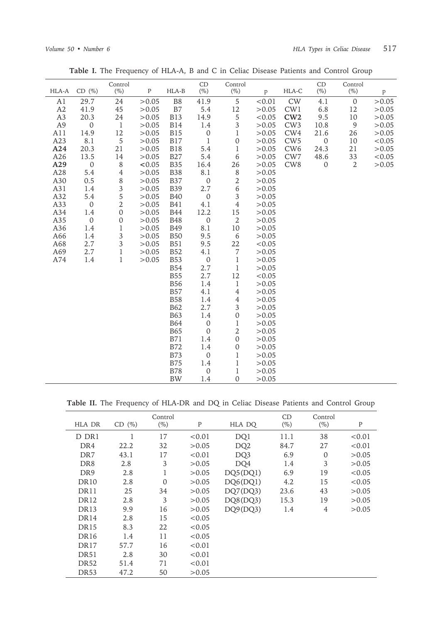|  | Table I. The Frequency of HLA-A, B and C in Celiac Disease Patients and Control Group |  |
|--|---------------------------------------------------------------------------------------|--|
|--|---------------------------------------------------------------------------------------|--|

| HLA-A          | $CD (\%)$               | Control<br>$(\%)$         | $\, {\bf P}$   | HLA-B                    | CD<br>$(\%)$            | Control<br>$(\%)$ | $\mathbf{p}$     | HLA-C           | CD<br>$(\%)$     | Control<br>$(\%)$ | $\, {\bf p}$ |
|----------------|-------------------------|---------------------------|----------------|--------------------------|-------------------------|-------------------|------------------|-----------------|------------------|-------------------|--------------|
| A1             | 29.7                    | 24                        | >0.05          | ${\rm B}8$               | 41.9                    | $\sqrt{5}$        | < 0.01           | CW              | 4.1              | $\boldsymbol{0}$  | >0.05        |
| A2             | 41.9                    | 45                        | >0.05          | B7                       | 5.4                     | 12                | > 0.05           | CW1             | 6.8              | 12                | >0.05        |
| A <sub>3</sub> | 20.3                    | 24                        | >0.05          | <b>B13</b>               | 14.9                    | $\overline{5}$    | < 0.05           | CW2             | 9.5              | 10                | >0.05        |
| A9             | $\boldsymbol{0}$        | $\mathbf{1}$              | >0.05          | <b>B14</b>               | 1.4                     | $\mathfrak z$     | >0.05            | CW <sub>3</sub> | 10.8             | $9\,$             | >0.05        |
| A11            | 14.9                    | 12                        | >0.05          | <b>B15</b>               | $\boldsymbol{0}$        | $\,1\,$           | >0.05            | CW4             | 21.6             | 26                | >0.05        |
| A23            | $8.1\,$                 | $\sqrt{5}$                | >0.05          | <b>B17</b>               | $\mathbf{1}$            | $\boldsymbol{0}$  | >0.05            | CW <sub>5</sub> | $\boldsymbol{0}$ | 10                | < 0.05       |
| A24            | 20.3                    | 21                        | >0.05          | <b>B18</b>               | 5.4                     | $\,1\,$           | >0.05            | CW <sub>6</sub> | 24.3             | 21                | >0.05        |
| A26            | 13.5                    | 14                        | >0.05          | <b>B27</b>               | 5.4                     | 6                 | > 0.05           | CW7             | 48.6             | 33                | < 0.05       |
| A29            | $\boldsymbol{0}$        | $\,8\,$                   | < 0.05         | <b>B35</b>               | 16.4                    | 26                | >0.05            | CW8             | $\mathbf{0}$     | $\overline{2}$    | >0.05        |
| A28            | 5.4                     | 4                         | >0.05          | <b>B38</b>               | 8.1                     | $\,8\,$           | > 0.05           |                 |                  |                   |              |
| A30            | 0.5                     | $\,8\,$                   | >0.05          | <b>B37</b>               | $\mathbf{0}$            | $\mathbf{2}$      | > 0.05           |                 |                  |                   |              |
| A31            | 1.4                     | $\sqrt{3}$                | >0.05          | <b>B39</b>               | 2.7                     | 6                 | > 0.05           |                 |                  |                   |              |
| A32            | 5.4                     | 5                         | >0.05          | <b>B40</b>               | $\boldsymbol{0}$        | $\sqrt{3}$        | > 0.05           |                 |                  |                   |              |
| A33            | $\boldsymbol{0}$        | $\overline{c}$            | >0.05          | <b>B41</b>               | 4.1                     | $\overline{4}$    | > 0.05           |                 |                  |                   |              |
| A34            | 1.4                     | $\boldsymbol{0}$          | >0.05          | <b>B44</b>               | 12.2                    | 15                | >0.05            |                 |                  |                   |              |
| A35            | $\boldsymbol{0}$<br>1.4 | $\boldsymbol{0}$<br>$\,1$ | >0.05<br>>0.05 | <b>B48</b><br><b>B49</b> | $\boldsymbol{0}$<br>8.1 | $\sqrt{2}$<br>10  | > 0.05<br>> 0.05 |                 |                  |                   |              |
| A36<br>A66     | 1.4                     | $\mathfrak{Z}$            | >0.05          | <b>B50</b>               | 9.5                     | 6                 | > 0.05           |                 |                  |                   |              |
| A68            | 2.7                     | $\mathfrak{Z}$            | > 0.05         | <b>B51</b>               | 9.5                     | 22                | < 0.05           |                 |                  |                   |              |
| A69            | 2.7                     | 1                         | >0.05          | <b>B52</b>               | 4.1                     | $\overline{7}$    | > 0.05           |                 |                  |                   |              |
| A74            | 1.4                     | $\mathbf{1}$              | >0.05          | <b>B53</b>               | $\boldsymbol{0}$        | $1\,$             | > 0.05           |                 |                  |                   |              |
|                |                         |                           |                | <b>B54</b>               | 2.7                     | $\mathbf{1}$      | >0.05            |                 |                  |                   |              |
|                |                         |                           |                | <b>B55</b>               | 2.7                     | 12                | < 0.05           |                 |                  |                   |              |
|                |                         |                           |                | <b>B56</b>               | 1.4                     | $\mathbf{1}$      | > 0.05           |                 |                  |                   |              |
|                |                         |                           |                | <b>B57</b>               | 4.1                     | $\overline{4}$    | >0.05            |                 |                  |                   |              |
|                |                         |                           |                | <b>B58</b>               | 1.4                     | $\overline{4}$    | > 0.05           |                 |                  |                   |              |
|                |                         |                           |                | <b>B62</b>               | 2.7                     | $\sqrt{3}$        | >0.05            |                 |                  |                   |              |
|                |                         |                           |                | <b>B63</b>               | 1.4                     | $\boldsymbol{0}$  | >0.05            |                 |                  |                   |              |
|                |                         |                           |                | <b>B64</b>               | $\mathbf{0}$            | $\,1\,$           | > 0.05           |                 |                  |                   |              |
|                |                         |                           |                | <b>B65</b>               | $\mathbf{0}$            | $\sqrt{2}$        | > 0.05           |                 |                  |                   |              |
|                |                         |                           |                | <b>B71</b>               | 1.4                     | $\mathbf{0}$      | > 0.05           |                 |                  |                   |              |
|                |                         |                           |                | <b>B72</b>               | 1.4                     | $\boldsymbol{0}$  | > 0.05           |                 |                  |                   |              |
|                |                         |                           |                | <b>B73</b>               | $\mathbf{0}$            | $\mathbf{1}$      | > 0.05           |                 |                  |                   |              |
|                |                         |                           |                | <b>B75</b>               | 1.4                     | $\mathbf{1}$      | > 0.05           |                 |                  |                   |              |
|                |                         |                           |                | <b>B78</b>               | $\boldsymbol{0}$        | $\mathbf{1}$      | >0.05            |                 |                  |                   |              |
|                |                         |                           |                | <b>BW</b>                | 1.4                     | $\mathbf{0}$      | > 0.05           |                 |                  |                   |              |

**Table II.** The Frequency of HLA-DR and DQ in Celiac Disease Patients and Control Group

|                  |             | Control  |        |                 | CD     | Control        |             |
|------------------|-------------|----------|--------|-----------------|--------|----------------|-------------|
| <b>HLA DR</b>    | $CD$ $(\%)$ | $(\%)$   | P      | HLA DQ          | $(\%)$ | $(\%)$         | $\mathbf P$ |
| D DR1            |             | 17       | < 0.01 | DQ1             | 11.1   | 38             | < 0.01      |
| DR4              | 22.2        | 32       | > 0.05 | DQ <sub>2</sub> | 84.7   | 27             | < 0.01      |
| DR7              | 43.1        | 17       | < 0.01 | DQ3             | 6.9    | $\mathbf{0}$   | > 0.05      |
| DR <sub>8</sub>  | 2.8         | 3        | >0.05  | DQ4             | 1.4    | 3              | > 0.05      |
| DR <sub>9</sub>  | 2.8         | 1        | >0.05  | DQ5(DQ1)        | 6.9    | 19             | < 0.05      |
| DR <sub>10</sub> | 2.8         | $\Omega$ | >0.05  | DQ6(DQ1)        | 4.2    | 15             | < 0.05      |
| DR11             | 25          | 34       | >0.05  | DQ7(DQ3)        | 23.6   | 43             | > 0.05      |
| DR <sub>12</sub> | 2.8         | 3        | >0.05  | DQ8(DQ3)        | 15.3   | 19             | > 0.05      |
| DR <sub>13</sub> | 9.9         | 16       | >0.05  | DQ9(DQ3)        | 1.4    | $\overline{4}$ | >0.05       |
| DR <sub>14</sub> | 2.8         | 15       | < 0.05 |                 |        |                |             |
| DR <sub>15</sub> | 8.3         | 22       | < 0.05 |                 |        |                |             |
| DR <sub>16</sub> | 1.4         | 11       | <0.05  |                 |        |                |             |
| DR <sub>17</sub> | 57.7        | 16       | < 0.01 |                 |        |                |             |
| DR51             | 2.8         | 30       | < 0.01 |                 |        |                |             |
| DR52             | 51.4        | 71       | < 0.01 |                 |        |                |             |
| <b>DR53</b>      | 47.2        | 50       | > 0.05 |                 |        |                |             |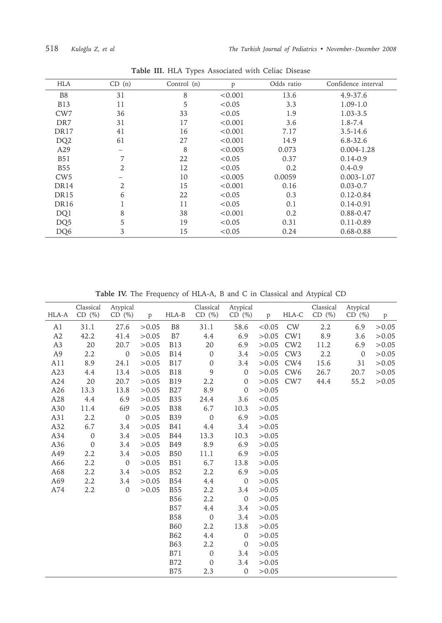| <b>HLA</b>       | CD(n)          | Control (n) | p       | Odds ratio | Confidence interval |
|------------------|----------------|-------------|---------|------------|---------------------|
| B <sub>8</sub>   | 31             | 8           | < 0.001 | 13.6       | 4.9-37.6            |
| <b>B13</b>       | 11             | 5           | < 0.05  | 3.3        | $1.09 - 1.0$        |
| CW <sub>7</sub>  | 36             | 33          | < 0.05  | 1.9        | $1.03 - 3.5$        |
| DR7              | 31             | 17          | < 0.001 | 3.6        | $1.8 - 7.4$         |
| DR <sub>17</sub> | 41             | 16          | < 0.001 | 7.17       | $3.5 - 14.6$        |
| DQ <sub>2</sub>  | 61             | 27          | < 0.001 | 14.9       | $6.8 - 32.6$        |
| A29              |                | 8           | < 0.005 | 0.073      | $0.004 - 1.28$      |
| <b>B51</b>       | 7              | 22          | < 0.05  | 0.37       | $0.14 - 0.9$        |
| B55              | $\overline{2}$ | 12          | < 0.05  | 0.2        | $0.4 - 0.9$         |
| CW <sub>5</sub>  |                | 10          | < 0.005 | 0.0059     | $0.003 - 1.07$      |
| DR <sub>14</sub> | 2              | 15          | < 0.001 | 0.16       | $0.03 - 0.7$        |
| DR <sub>15</sub> | 6              | 22          | < 0.05  | 0.3        | $0.12 - 0.84$       |
| DR <sub>16</sub> | Ŧ.             | 11          | < 0.05  | 0.1        | $0.14 - 0.91$       |
| DQ1              | 8              | 38          | < 0.001 | 0.2        | 0.88-0.47           |
| DQ <sub>5</sub>  | 5              | 19          | < 0.05  | 0.31       | $0.11 - 0.89$       |
| DQ6              | 3              | 15          | < 0.05  | 0.24       | $0.68 - 0.88$       |

**Table III.** HLA Types Associated with Celiac Disease

**Table IV.** The Frequency of HLA-A, B and C in Classical and Atypical CD

| HLA-A          | Classical<br>$CD$ $(\%)$ | Atypical<br>$CD$ $(\%)$ | $\mathbf{p}$ | HLA-B      | Classical<br>$CD$ $(\%)$ | Atypical<br>$CD (\%)$ | $\mathbf{p}$ | HLA-C           | Classical<br>$CD (\%)$ | Atypical<br>$CD$ $(\%)$ | $\, {\bf p}$ |
|----------------|--------------------------|-------------------------|--------------|------------|--------------------------|-----------------------|--------------|-----------------|------------------------|-------------------------|--------------|
| A1             | 31.1                     | 27.6                    | >0.05        | B8         | 31.1                     | 58.6                  | < 0.05       | CW              | 2.2                    | 6.9                     | >0.05        |
| A2             | 42.2                     | 41.4                    | >0.05        | B7         | 4.4                      | 6.9                   | >0.05        | CW1             | 8.9                    | 3.6                     | >0.05        |
| A <sub>3</sub> | 20                       | 20.7                    | >0.05        | <b>B13</b> | 20                       | 6.9                   | >0.05        | CW <sub>2</sub> | 11.2                   | 6.9                     | > 0.05       |
| A <sub>9</sub> | 2.2                      | $\mathbf{0}$            | > 0.05       | <b>B14</b> | $\mathbf{0}$             | 3.4                   | >0.05        | CW <sub>3</sub> | 2.2                    | $\mathbf{0}$            | >0.05        |
| A11            | 8.9                      | 24.1                    | >0.05        | <b>B17</b> | $\theta$                 | 3.4                   | >0.05        | CW <sub>4</sub> | 15.6                   | 31                      | >0.05        |
| A23            | 4.4                      | 13.4                    | >0.05        | <b>B18</b> | 9                        | $\overline{0}$        | >0.05        | CW <sub>6</sub> | 26.7                   | 20.7                    | > 0.05       |
| A24            | 20                       | 20.7                    | > 0.05       | <b>B19</b> | 2.2                      | $\overline{0}$        | >0.05        | CW <sub>7</sub> | 44.4                   | 55.2                    | >0.05        |
| A26            | 13.3                     | 13.8                    | >0.05        | <b>B27</b> | 8.9                      | $\overline{0}$        | >0.05        |                 |                        |                         |              |
| A28            | 4.4                      | 6.9                     | >0.05        | <b>B35</b> | 24.4                     | 3.6                   | < 0.05       |                 |                        |                         |              |
| A30            | 11.4                     | 6i9                     | >0.05        | <b>B38</b> | 6.7                      | 10.3                  | >0.05        |                 |                        |                         |              |
| A31            | 2.2                      | $\mathbf{0}$            | >0.05        | <b>B39</b> | $\mathbf{0}$             | 6.9                   | >0.05        |                 |                        |                         |              |
| A32            | 6.7                      | 3.4                     | >0.05        | <b>B41</b> | 4.4                      | 3.4                   | >0.05        |                 |                        |                         |              |
| A34            | $\mathbf{0}$             | 3.4                     | > 0.05       | <b>B44</b> | 13.3                     | 10.3                  | >0.05        |                 |                        |                         |              |
| A36            | $\mathbf{0}$             | 3.4                     | > 0.05       | <b>B49</b> | 8.9                      | 6.9                   | >0.05        |                 |                        |                         |              |
| A49            | 2.2                      | 3.4                     | >0.05        | <b>B50</b> | 11.1                     | 6.9                   | >0.05        |                 |                        |                         |              |
| A66            | 2.2                      | $\boldsymbol{0}$        | >0.05        | <b>B51</b> | 6.7                      | 13.8                  | >0.05        |                 |                        |                         |              |
| A68            | 2.2                      | 3.4                     | >0.05        | <b>B52</b> | 2.2                      | 6.9                   | >0.05        |                 |                        |                         |              |
| A69            | 2.2                      | 3.4                     | > 0.05       | <b>B54</b> | 4.4                      | $\theta$              | >0.05        |                 |                        |                         |              |
| A74            | 2.2                      | $\boldsymbol{0}$        | >0.05        | <b>B55</b> | 2.2                      | 3.4                   | >0.05        |                 |                        |                         |              |
|                |                          |                         |              | <b>B56</b> | 2.2                      | $\overline{0}$        | >0.05        |                 |                        |                         |              |
|                |                          |                         |              | <b>B57</b> | 4.4                      | 3.4                   | >0.05        |                 |                        |                         |              |
|                |                          |                         |              | <b>B58</b> | $\boldsymbol{0}$         | 3.4                   | >0.05        |                 |                        |                         |              |
|                |                          |                         |              | <b>B60</b> | 2.2                      | 13.8                  | >0.05        |                 |                        |                         |              |
|                |                          |                         |              | <b>B62</b> | 4.4                      | $\overline{0}$        | >0.05        |                 |                        |                         |              |
|                |                          |                         |              | <b>B63</b> | 2.2                      | $\mathbf{0}$          | >0.05        |                 |                        |                         |              |
|                |                          |                         |              | <b>B71</b> | $\theta$                 | 3.4                   | >0.05        |                 |                        |                         |              |
|                |                          |                         |              | <b>B72</b> | $\boldsymbol{0}$         | 3.4                   | > 0.05       |                 |                        |                         |              |
|                |                          |                         |              | <b>B75</b> | 2.3                      | $\mathbf{0}$          | >0.05        |                 |                        |                         |              |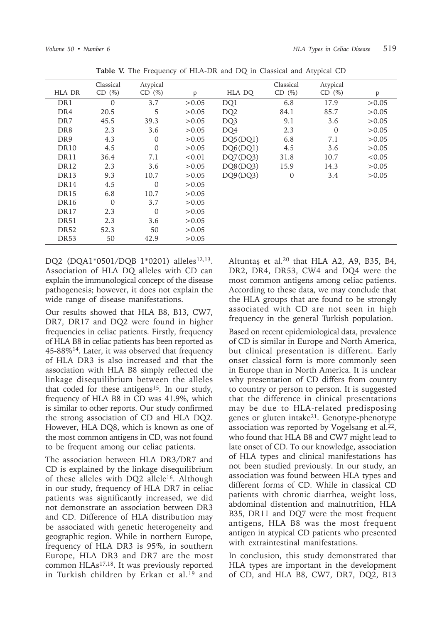| HLA DR           | Classical<br>$CD(\%)$ | Atypical<br>$CD (\%)$ | $\mathbf{p}$ | HLA DQ          | Classical<br>$CD(\%)$ | Atypical<br>$CD (\%)$ | P      |
|------------------|-----------------------|-----------------------|--------------|-----------------|-----------------------|-----------------------|--------|
| DR1              | $\Omega$              | 3.7                   | >0.05        | DQ1             | 6.8                   | 17.9                  | >0.05  |
| DR4              | 20.5                  | 5                     | >0.05        | DQ <sub>2</sub> | 84.1                  | 85.7                  | > 0.05 |
| DR7              | 45.5                  | 39.3                  | >0.05        | DQ3             | 9.1                   | 3.6                   | >0.05  |
| DR <sub>8</sub>  | 2.3                   | 3.6                   | >0.05        | DQ4             | 2.3                   | $\mathbf{0}$          | > 0.05 |
| DR <sub>9</sub>  | 4.3                   | $\theta$              | >0.05        | DQ5(DQ1)        | 6.8                   | 7.1                   | > 0.05 |
| DR <sub>10</sub> | 4.5                   | $\mathbf{0}$          | >0.05        | DQ6(DQ1)        | 4.5                   | 3.6                   | > 0.05 |
| DR11             | 36.4                  | 7.1                   | < 0.01       | DQ7(DQ3)        | 31.8                  | 10.7                  | < 0.05 |
| DR <sub>12</sub> | 2.3                   | 3.6                   | >0.05        | DQ8(DQ3)        | 15.9                  | 14.3                  | > 0.05 |
| DR <sub>13</sub> | 9.3                   | 10.7                  | >0.05        | DQ9(DQ3)        | $\mathbf{0}$          | 3.4                   | > 0.05 |
| DR <sub>14</sub> | 4.5                   | $\Omega$              | >0.05        |                 |                       |                       |        |
| DR <sub>15</sub> | 6.8                   | 10.7                  | >0.05        |                 |                       |                       |        |
| DR <sub>16</sub> | $\mathbf{0}$          | 3.7                   | > 0.05       |                 |                       |                       |        |
| DR <sub>17</sub> | 2.3                   | $\theta$              | >0.05        |                 |                       |                       |        |
| DR51             | 2.3                   | 3.6                   | >0.05        |                 |                       |                       |        |
| DR <sub>52</sub> | 52.3                  | 50                    | >0.05        |                 |                       |                       |        |
| <b>DR53</b>      | 50                    | 42.9                  | >0.05        |                 |                       |                       |        |

**Table V.** The Frequency of HLA-DR and DQ in Classical and Atypical CD

DQ2 (DQA1\*0501/DQB 1\*0201) alleles<sup>12,13</sup>. Association of HLA DQ alleles with CD can explain the immunological concept of the disease pathogenesis; however, it does not explain the wide range of disease manifestations.

Our results showed that HLA B8, B13, CW7, DR7, DR17 and DQ2 were found in higher frequencies in celiac patients. Firstly, frequency of HLA B8 in celiac patients has been reported as  $45-88\%$ <sup>14</sup>. Later, it was observed that frequency of HLA DR3 is also increased and that the association with HLA B8 simply reflected the linkage disequilibrium between the alleles that coded for these antigens<sup>15</sup>. In our study, frequency of HLA B8 in CD was 41.9%, which is similar to other reports. Our study confirmed the strong association of CD and HLA DQ2. However, HLA DQ8, which is known as one of the most common antigens in CD, was not found to be frequent among our celiac patients.

The association between HLA DR3/DR7 and CD is explained by the linkage disequilibrium of these alleles with DQ2 allele<sup>16</sup>. Although in our study, frequency of HLA DR7 in celiac patients was significantly increased, we did not demonstrate an association between DR3 and CD. Difference of HLA distribution may be associated with genetic heterogeneity and geographic region. While in northern Europe, frequency of HLA DR3 is 95%, in southern Europe, HLA DR3 and DR7 are the most common HLAs<sup>17,18</sup>. It was previously reported in Turkish children by Erkan et al.<sup>19</sup> and Altuntaş et al.20 that HLA A2, A9, B35, B4, DR2, DR4, DR53, CW4 and DQ4 were the most common antigens among celiac patients. According to these data, we may conclude that the HLA groups that are found to be strongly associated with CD are not seen in high frequency in the general Turkish population.

Based on recent epidemiological data, prevalence of CD is similar in Europe and North America, but clinical presentation is different. Early onset classical form is more commonly seen in Europe than in North America. It is unclear why presentation of CD differs from country to country or person to person. It is suggested that the difference in clinical presentations may be due to HLA-related predisposing genes or gluten intake21. Genotype-phenotype association was reported by Vogelsang et al.22, who found that HLA B8 and CW7 might lead to late onset of CD. To our knowledge, association of HLA types and clinical manifestations has not been studied previously. In our study, an association was found between HLA types and different forms of CD. While in classical CD patients with chronic diarrhea, weight loss, abdominal distention and malnutrition, HLA B35, DR11 and DQ7 were the most frequent antigens, HLA B8 was the most frequent antigen in atypical CD patients who presented with extraintestinal manifestations.

In conclusion, this study demonstrated that HLA types are important in the development of CD, and HLA B8, CW7, DR7, DQ2, B13